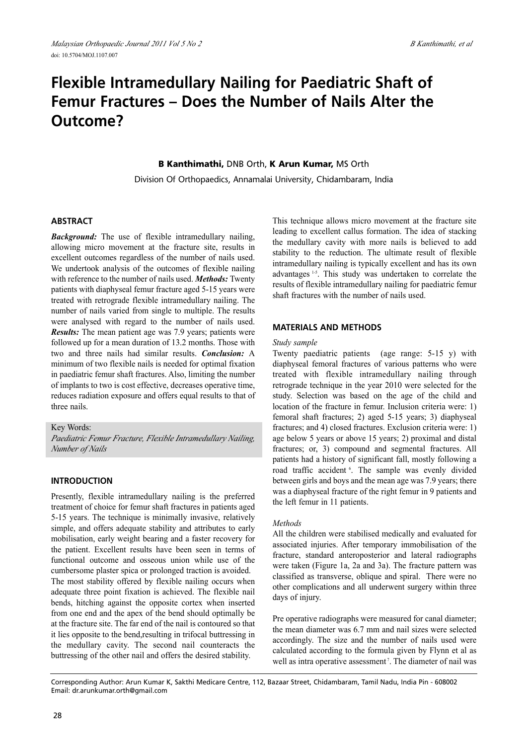# **Flexible Intramedullary Nailing for Paediatric Shaft of Femur Fractures – Does the Number of Nails Alter the Outcome?**

**B Kanthimathi,** DNB Orth, **K Arun Kumar,** MS Orth

Division Of Orthopaedics, Annamalai University, Chidambaram, India

## **ABSTRACT**

*Background:* The use of flexible intramedullary nailing, allowing micro movement at the fracture site, results in excellent outcomes regardless of the number of nails used. We undertook analysis of the outcomes of flexible nailing with reference to the number of nails used. *Methods:* Twenty patients with diaphyseal femur fracture aged 5-15 years were treated with retrograde flexible intramedullary nailing. The number of nails varied from single to multiple. The results were analysed with regard to the number of nails used. *Results:* The mean patient age was 7.9 years; patients were followed up for a mean duration of 13.2 months. Those with two and three nails had similar results. *Conclusion:* A minimum of two flexible nails is needed for optimal fixation in paediatric femur shaft fractures. Also, limiting the number of implants to two is cost effective, decreases operative time, reduces radiation exposure and offers equal results to that of three nails.

Key Words:

*Paediatric Femur Fracture, Flexible Intramedullary Nailing, Number of Nails*

## **INTRODUCTION**

Presently, flexible intramedullary nailing is the preferred treatment of choice for femur shaft fractures in patients aged 5-15 years. The technique is minimally invasive, relatively simple, and offers adequate stability and attributes to early mobilisation, early weight bearing and a faster recovery for the patient. Excellent results have been seen in terms of functional outcome and osseous union while use of the cumbersome plaster spica or prolonged traction is avoided. The most stability offered by flexible nailing occurs when adequate three point fixation is achieved. The flexible nail bends, hitching against the opposite cortex when inserted from one end and the apex of the bend should optimally be at the fracture site. The far end of the nail is contoured so that it lies opposite to the bend,resulting in trifocal buttressing in the medullary cavity. The second nail counteracts the buttressing of the other nail and offers the desired stability.

This technique allows micro movement at the fracture site leading to excellent callus formation. The idea of stacking the medullary cavity with more nails is believed to add stability to the reduction. The ultimate result of flexible intramedullary nailing is typically excellent and has its own advantages<sup>1-5</sup>. This study was undertaken to correlate the results of flexible intramedullary nailing for paediatric femur shaft fractures with the number of nails used.

## **MATERIALS AND METHODS**

#### *Study sample*

Twenty paediatric patients (age range: 5-15 y) with diaphyseal femoral fractures of various patterns who were treated with flexible intramedullary nailing through retrograde technique in the year 2010 were selected for the study. Selection was based on the age of the child and location of the fracture in femur. Inclusion criteria were: 1) femoral shaft fractures; 2) aged 5-15 years; 3) diaphyseal fractures; and 4) closed fractures. Exclusion criteria were: 1) age below 5 years or above 15 years; 2) proximal and distal fractures; or, 3) compound and segmental fractures. All patients had a history of significant fall, mostly following a road traffic accident <sup>6</sup>. The sample was evenly divided between girls and boys and the mean age was 7.9 years; there was a diaphyseal fracture of the right femur in 9 patients and the left femur in 11 patients.

#### *Methods*

All the children were stabilised medically and evaluated for associated injuries. After temporary immobilisation of the fracture, standard anteroposterior and lateral radiographs were taken (Figure 1a, 2a and 3a). The fracture pattern was classified as transverse, oblique and spiral. There were no other complications and all underwent surgery within three days of injury.

Pre operative radiographs were measured for canal diameter; the mean diameter was 6.7 mm and nail sizes were selected accordingly. The size and the number of nails used were calculated according to the formula given by Flynn et al as well as intra operative assessment<sup>7</sup>. The diameter of nail was

Corresponding Author: Arun Kumar K, Sakthi Medicare Centre, 112, Bazaar Street, Chidambaram, Tamil Nadu, India Pin - 608002 Email: dr.arunkumar.orth@gmail.com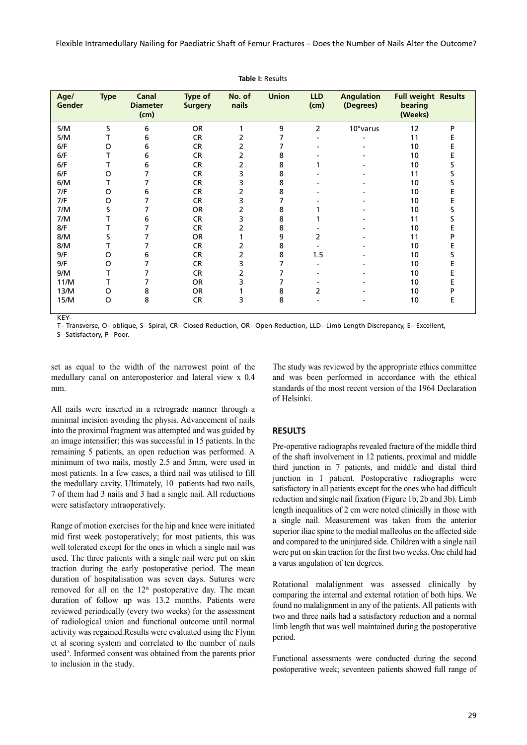Flexible Intramedullary Nailing for Paediatric Shaft of Femur Fractures – Does the Number of Nails Alter the Outcome?

| Age/<br>Gender | <b>Type</b> | Canal<br><b>Diameter</b><br>(cm) | Type of<br><b>Surgery</b> | No. of<br>nails | <b>Union</b> | <b>LLD</b><br>(cm) | <b>Angulation</b><br>(Degrees) | <b>Full weight Results</b><br>bearing<br>(Weeks) |   |
|----------------|-------------|----------------------------------|---------------------------|-----------------|--------------|--------------------|--------------------------------|--------------------------------------------------|---|
| 5/M            | S           | 6                                | <b>OR</b>                 |                 | 9            | 2                  | 10° varus                      | 12                                               | P |
| 5/M            |             | 6                                | <b>CR</b>                 | 2               | 7            |                    |                                | 11                                               | E |
| 6/F            | O           | 6                                | <b>CR</b>                 | 2               | 7            |                    |                                | 10                                               | E |
| 6/F            | т           | 6                                | <b>CR</b>                 | 2               | 8            |                    |                                | 10                                               | E |
| 6/F            |             | 6                                | <b>CR</b>                 | 2               | 8            |                    |                                | 10                                               | s |
| 6/F            | O           |                                  | CR                        | 3               | 8            |                    |                                | 11                                               | s |
| 6/M            |             |                                  | CR                        | 3               | 8            |                    |                                | 10                                               |   |
| 7/F            | O           | 6                                | <b>CR</b>                 | 2               | 8            |                    |                                | 10                                               | E |
| 7/F            | O           |                                  | CR                        | 3               | 7            |                    |                                | 10                                               | E |
| 7/M            | S           |                                  | <b>OR</b>                 | 2               | 8            |                    |                                | 10                                               |   |
| 7/M            | т           | 6                                | CR                        | 3               | 8            |                    |                                | 11                                               |   |
| 8/F            |             |                                  | <b>CR</b>                 | 2               | 8            |                    |                                | 10                                               |   |
| 8/M            | S           |                                  | OR                        |                 | 9            | 2                  |                                | 11                                               | D |
| 8/M            |             |                                  | <b>CR</b>                 | 2               | 8            |                    |                                | 10                                               |   |
| 9/F            | O           | 6                                | <b>CR</b>                 | 2               | 8            | 1.5                |                                | 10                                               |   |
| 9/F            | O           |                                  | <b>CR</b>                 | 3               | 7            |                    |                                | 10                                               |   |
| 9/M            | т           |                                  | <b>CR</b>                 | 2               |              |                    |                                | 10                                               |   |
| 11/M           |             |                                  | <b>OR</b>                 | 3               | 7            |                    |                                | 10                                               | E |
| 13/M           | O           | 8                                | <b>OR</b>                 |                 | 8            | 2                  |                                | 10                                               |   |
| 15/M           | O           | 8                                | <b>CR</b>                 | 3               | 8            |                    |                                | 10                                               | Е |
|                |             |                                  |                           |                 |              |                    |                                |                                                  |   |

**Table I:** Results

T– Transverse, O– oblique, S– Spiral, CR– Closed Reduction, OR– Open Reduction, LLD– Limb Length Discrepancy, E– Excellent,

S– Satisfactory, P– Poor.

KEY-

set as equal to the width of the narrowest point of the medullary canal on anteroposterior and lateral view x 0.4 mm.

All nails were inserted in a retrograde manner through a minimal incision avoiding the physis. Advancement of nails into the proximal fragment was attempted and was guided by an image intensifier; this was successful in 15 patients. In the remaining 5 patients, an open reduction was performed. A minimum of two nails, mostly 2.5 and 3mm, were used in most patients. In a few cases, a third nail was utilised to fill the medullary cavity. Ultimately, 10 patients had two nails, 7 of them had 3 nails and 3 had a single nail. All reductions were satisfactory intraoperatively.

Range of motion exercises for the hip and knee were initiated mid first week postoperatively; for most patients, this was well tolerated except for the ones in which a single nail was used. The three patients with a single nail were put on skin traction during the early postoperative period. The mean duration of hospitalisation was seven days. Sutures were removed for all on the  $12<sup>th</sup>$  postoperative day. The mean duration of follow up was 13.2 months. Patients were reviewed periodically (every two weeks) for the assessment of radiological union and functional outcome until normal activity was regained.Results were evaluated using the Flynn et al scoring system and correlated to the number of nails used<sup>8</sup>. Informed consent was obtained from the parents prior to inclusion in the study.

The study was reviewed by the appropriate ethics committee and was been performed in accordance with the ethical standards of the most recent version of the 1964 Declaration of Helsinki.

# **RESULTS**

Pre-operative radiographs revealed fracture of the middle third of the shaft involvement in 12 patients, proximal and middle third junction in 7 patients, and middle and distal third junction in 1 patient. Postoperative radiographs were satisfactory in all patients except for the ones who had difficult reduction and single nail fixation (Figure 1b, 2b and 3b). Limb length inequalities of 2 cm were noted clinically in those with a single nail. Measurement was taken from the anterior superior iliac spine to the medial malleolus on the affected side and compared to the uninjured side. Children with a single nail were put on skin traction for the first two weeks. One child had a varus angulation of ten degrees.

Rotational malalignment was assessed clinically by comparing the internal and external rotation of both hips. We found no malalignment in any of the patients. All patients with two and three nails had a satisfactory reduction and a normal limb length that was well maintained during the postoperative period.

Functional assessments were conducted during the second postoperative week; seventeen patients showed full range of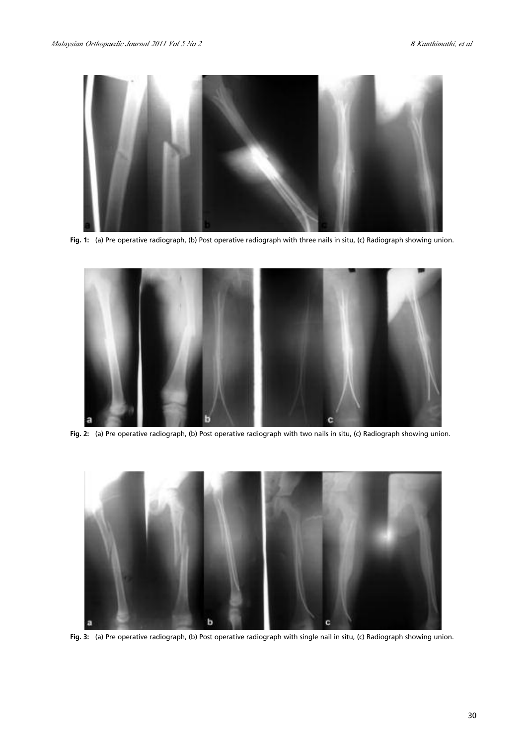

**Fig. 1:** (a) Pre operative radiograph, (b) Post operative radiograph with three nails in situ, (c) Radiograph showing union.



**Fig. 2:** (a) Pre operative radiograph, (b) Post operative radiograph with two nails in situ, (c) Radiograph showing union.



**Fig. 3:** (a) Pre operative radiograph, (b) Post operative radiograph with single nail in situ, (c) Radiograph showing union.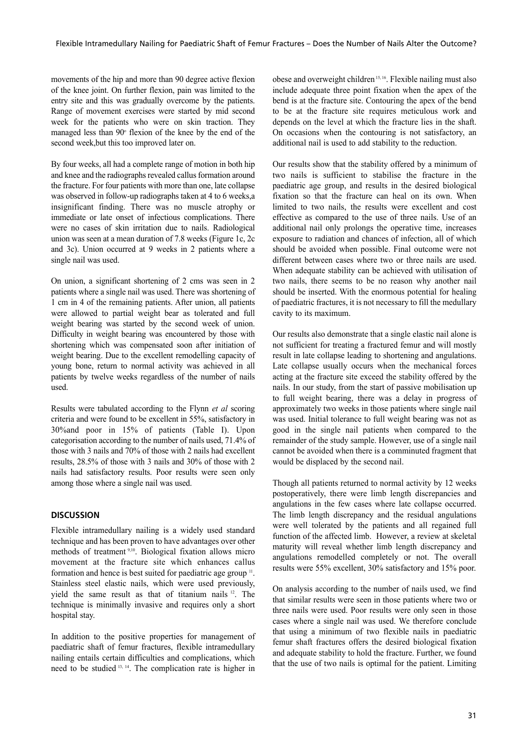movements of the hip and more than 90 degree active flexion of the knee joint. On further flexion, pain was limited to the entry site and this was gradually overcome by the patients. Range of movement exercises were started by mid second week for the patients who were on skin traction. They managed less than  $90^\circ$  flexion of the knee by the end of the second week,but this too improved later on.

By four weeks, all had a complete range of motion in both hip and knee and the radiographs revealed callus formation around the fracture. For four patients with more than one, late collapse was observed in follow-up radiographs taken at 4 to 6 weeks,a insignificant finding. There was no muscle atrophy or immediate or late onset of infectious complications. There were no cases of skin irritation due to nails. Radiological union was seen at a mean duration of 7.8 weeks (Figure 1c, 2c and 3c). Union occurred at 9 weeks in 2 patients where a single nail was used.

On union, a significant shortening of 2 cms was seen in 2 patients where a single nail was used. There was shortening of 1 cm in 4 of the remaining patients. After union, all patients were allowed to partial weight bear as tolerated and full weight bearing was started by the second week of union. Difficulty in weight bearing was encountered by those with shortening which was compensated soon after initiation of weight bearing. Due to the excellent remodelling capacity of young bone, return to normal activity was achieved in all patients by twelve weeks regardless of the number of nails used.

Results were tabulated according to the Flynn *et al* scoring criteria and were found to be excellent in 55%, satisfactory in 30%and poor in 15% of patients (Table I). Upon categorisation according to the number of nails used, 71.4% of those with 3 nails and 70% of those with 2 nails had excellent results, 28.5% of those with 3 nails and 30% of those with 2 nails had satisfactory results. Poor results were seen only among those where a single nail was used.

# **DISCUSSION**

Flexible intramedullary nailing is a widely used standard technique and has been proven to have advantages over other methods of treatment 9,10 . Biological fixation allows micro movement at the fracture site which enhances callus formation and hence is best suited for paediatric age group <sup>11</sup>. Stainless steel elastic nails, which were used previously, yield the same result as that of titanium nails <sup>12</sup> . The technique is minimally invasive and requires only a short hospital stay.

In addition to the positive properties for management of paediatric shaft of femur fractures, flexible intramedullary nailing entails certain difficulties and complications, which need to be studied 13, <sup>14</sup> . The complication rate is higher in

obese and overweight children<sup>15, 16</sup>. Flexible nailing must also include adequate three point fixation when the apex of the bend is at the fracture site. Contouring the apex of the bend to be at the fracture site requires meticulous work and depends on the level at which the fracture lies in the shaft. On occasions when the contouring is not satisfactory, an additional nail is used to add stability to the reduction.

Our results show that the stability offered by a minimum of two nails is sufficient to stabilise the fracture in the paediatric age group, and results in the desired biological fixation so that the fracture can heal on its own. When limited to two nails, the results were excellent and cost effective as compared to the use of three nails. Use of an additional nail only prolongs the operative time, increases exposure to radiation and chances of infection, all of which should be avoided when possible. Final outcome were not different between cases where two or three nails are used. When adequate stability can be achieved with utilisation of two nails, there seems to be no reason why another nail should be inserted. With the enormous potential for healing of paediatric fractures, it is not necessary to fill the medullary cavity to its maximum.

Our results also demonstrate that a single elastic nail alone is not sufficient for treating a fractured femur and will mostly result in late collapse leading to shortening and angulations. Late collapse usually occurs when the mechanical forces acting at the fracture site exceed the stability offered by the nails. In our study, from the start of passive mobilisation up to full weight bearing, there was a delay in progress of approximately two weeks in those patients where single nail was used. Initial tolerance to full weight bearing was not as good in the single nail patients when compared to the remainder of the study sample. However, use of a single nail cannot be avoided when there is a comminuted fragment that would be displaced by the second nail.

Though all patients returned to normal activity by 12 weeks postoperatively, there were limb length discrepancies and angulations in the few cases where late collapse occurred. The limb length discrepancy and the residual angulations were well tolerated by the patients and all regained full function of the affected limb. However, a review at skeletal maturity will reveal whether limb length discrepancy and angulations remodelled completely or not. The overall results were 55% excellent, 30% satisfactory and 15% poor.

On analysis according to the number of nails used, we find that similar results were seen in those patients where two or three nails were used. Poor results were only seen in those cases where a single nail was used. We therefore conclude that using a minimum of two flexible nails in paediatric femur shaft fractures offers the desired biological fixation and adequate stability to hold the fracture. Further, we found that the use of two nails is optimal for the patient. Limiting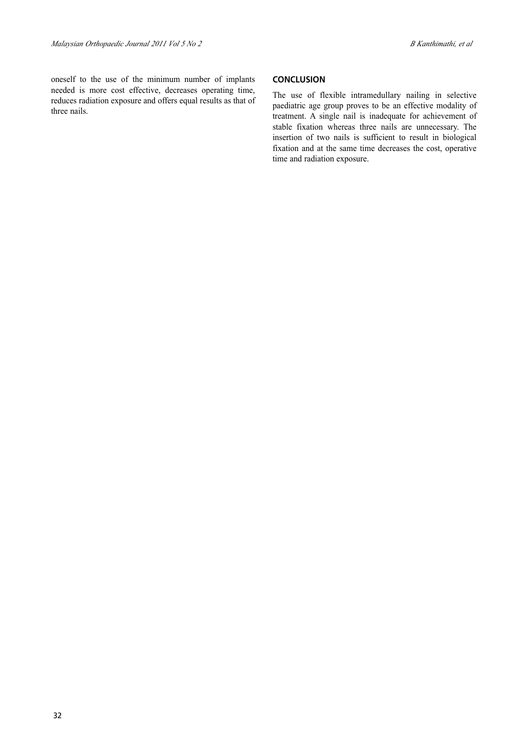oneself to the use of the minimum number of implants needed is more cost effective, decreases operating time, reduces radiation exposure and offers equal results as that of three nails.

## **CONCLUSION**

The use of flexible intramedullary nailing in selective paediatric age group proves to be an effective modality of treatment. A single nail is inadequate for achievement of stable fixation whereas three nails are unnecessary. The insertion of two nails is sufficient to result in biological fixation and at the same time decreases the cost, operative time and radiation exposure.